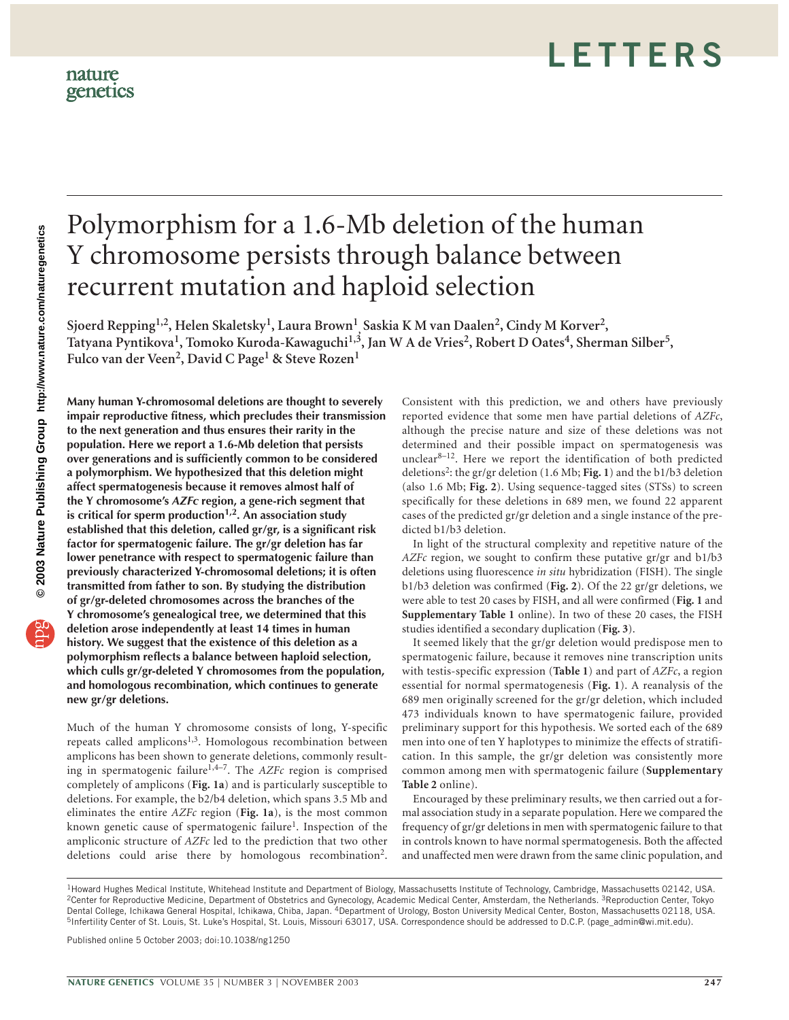# Polymorphism for a 1.6-Mb deletion of the human Y chromosome persists through balance between recurrent mutation and haploid selection

**Sjoerd Repping1,2, Helen Skaletsky1, Laura Brown1 , Saskia K M van Daalen2, Cindy M Korver2,**  Tatyana Pyntikova<sup>1</sup>, Tomoko Kuroda-Kawaguchi<sup>1,3</sup>, Jan W A de Vries<sup>2</sup>, Robert D Oates<sup>4</sup>, Sherman Silber<sup>5</sup>, **Fulco van der Veen2, David C Page1 & Steve Rozen<sup>1</sup>**

**Many human Y-chromosomal deletions are thought to severely impair reproductive fitness, which precludes their transmission to the next generation and thus ensures their rarity in the population. Here we report a 1.6-Mb deletion that persists over generations and is sufficiently common to be considered a polymorphism. We hypothesized that this deletion might affect spermatogenesis because it removes almost half of the Y chromosome's** *AZFc* **region, a gene-rich segment that is critical for sperm production1,2. An association study established that this deletion, called gr/gr, is a significant risk factor for spermatogenic failure. The gr/gr deletion has far lower penetrance with respect to spermatogenic failure than previously characterized Y-chromosomal deletions; it is often transmitted from father to son. By studying the distribution of gr/gr-deleted chromosomes across the branches of the Y chromosome's genealogical tree, we determined that this deletion arose independently at least 14 times in human history. We suggest that the existence of this deletion as a polymorphism reflects a balance between haploid selection, which culls gr/gr-deleted Y chromosomes from the population, and homologous recombination, which continues to generate new gr/gr deletions.**

Much of the human Y chromosome consists of long, Y-specific repeats called amplicons<sup>1,3</sup>. Homologous recombination between amplicons has been shown to generate deletions, commonly resulting in spermatogenic failure<sup>1,4–7</sup>. The *AZFc* region is comprised completely of amplicons (**Fig. 1a**) and is particularly susceptible to deletions. For example, the b2/b4 deletion, which spans 3.5 Mb and eliminates the entire *AZFc* region (**Fig. 1a**), is the most common known genetic cause of spermatogenic failure<sup>1</sup>. Inspection of the ampliconic structure of *AZFc* led to the prediction that two other deletions could arise there by homologous recombination2.

Consistent with this prediction, we and others have previously reported evidence that some men have partial deletions of *AZFc*, although the precise nature and size of these deletions was not determined and their possible impact on spermatogenesis was unclear $8-12$ . Here we report the identification of both predicted deletions2: the gr/gr deletion (1.6 Mb; **Fig. 1**) and the b1/b3 deletion (also 1.6 Mb; **Fig. 2**). Using sequence-tagged sites (STSs) to screen specifically for these deletions in 689 men, we found 22 apparent cases of the predicted gr/gr deletion and a single instance of the predicted b1/b3 deletion.

In light of the structural complexity and repetitive nature of the *AZFc* region, we sought to confirm these putative gr/gr and b1/b3 deletions using fluorescence *in situ* hybridization (FISH). The single b1/b3 deletion was confirmed (**Fig. 2**). Of the 22 gr/gr deletions, we were able to test 20 cases by FISH, and all were confirmed (**Fig. 1** and **Supplementary Table 1** online). In two of these 20 cases, the FISH studies identified a secondary duplication (**Fig. 3**).

It seemed likely that the gr/gr deletion would predispose men to spermatogenic failure, because it removes nine transcription units with testis-specific expression (**Table 1**) and part of *AZFc*, a region essential for normal spermatogenesis (**Fig. 1**). A reanalysis of the 689 men originally screened for the gr/gr deletion, which included 473 individuals known to have spermatogenic failure, provided preliminary support for this hypothesis. We sorted each of the 689 men into one of ten Y haplotypes to minimize the effects of stratification. In this sample, the gr/gr deletion was consistently more common among men with spermatogenic failure (**Supplementary Table 2** online).

Encouraged by these preliminary results, we then carried out a formal association study in a separate population. Here we compared the frequency of gr/gr deletions in men with spermatogenic failure to that in controls known to have normal spermatogenesis. Both the affected and unaffected men were drawn from the same clinic population, and

Published online 5 October 2003; doi:10.1038/ng1250

<sup>1</sup>Howard Hughes Medical Institute, Whitehead Institute and Department of Biology, Massachusetts Institute of Technology, Cambridge, Massachusetts 02142, USA. <sup>2</sup>Center for Reproductive Medicine, Department of Obstetrics and Gynecology, Academic Medical Center, Amsterdam, the Netherlands. <sup>3</sup>Reproduction Center, Tokyo Dental College, Ichikawa General Hospital, Ichikawa, Chiba, Japan. 4Department of Urology, Boston University Medical Center, Boston, Massachusetts 02118, USA. 5Infertility Center of St. Louis, St. Luke's Hospital, St. Louis, Missouri 63017, USA. Correspondence should be addressed to D.C.P. (page\_admin@wi.mit.edu).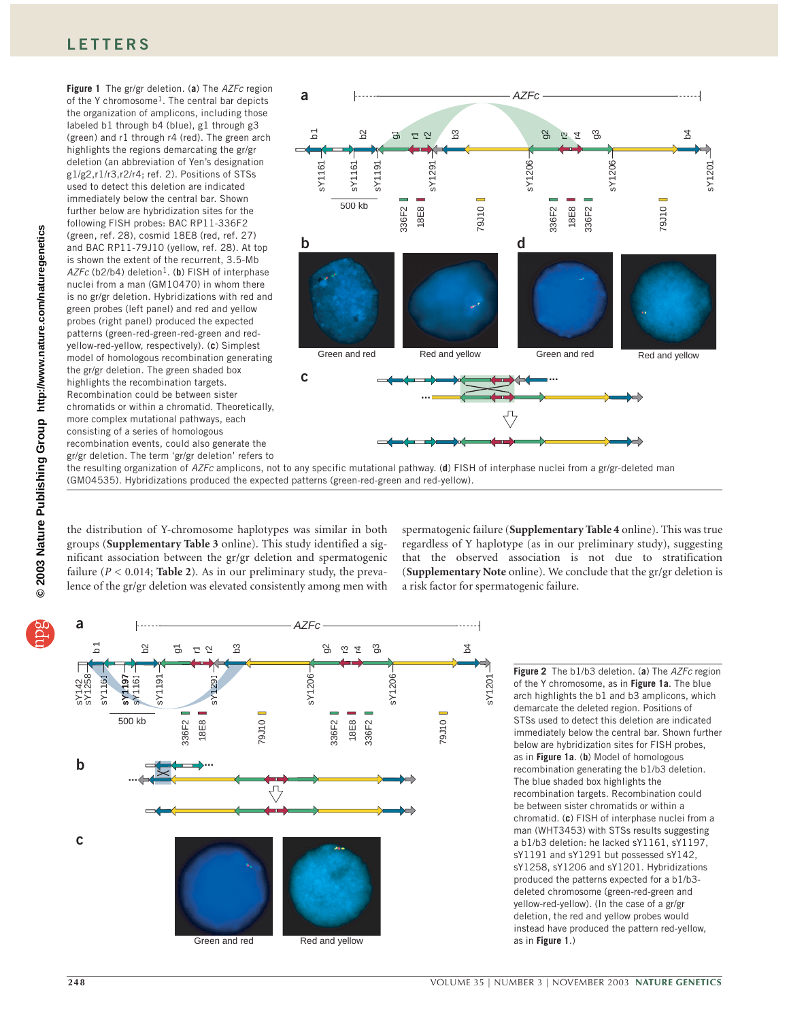# **LETTERS**

of the Y chromosome<sup>1</sup>. The central bar depicts the organization of amplicons, including those labeled b1 through b4 (blue), g1 through g3 (green) and r1 through r4 (red). The green arch highlights the regions demarcating the gr/gr deletion (an abbreviation of Yen's designation g1/g2,r1/r3,r2/r4; ref. 2). Positions of STSs used to detect this deletion are indicated immediately below the central bar. Shown further below are hybridization sites for the following FISH probes: BAC RP11-336F2 (green, ref. 28), cosmid 18E8 (red, ref. 27) and BAC RP11-79J10 (yellow, ref. 28). At top is shown the extent of the recurrent, 3.5-Mb AZFc (b2/b4) deletion<sup>1</sup>. (**b**) FISH of interphase nuclei from a man (GM10470) in whom there is no gr/gr deletion. Hybridizations with red and green probes (left panel) and red and yellow probes (right panel) produced the expected patterns (green-red-green-red-green and redyellow-red-yellow, respectively). (**c**) Simplest model of homologous recombination generating the gr/gr deletion. The green shaded box highlights the recombination targets. Recombination could be between sister chromatids or within a chromatid. Theoretically, more complex mutational pathways, each consisting of a series of homologous recombination events, could also generate the gr/gr deletion. The term 'gr/gr deletion' refers to

**Figure 1** The gr/gr deletion. (**a**) The *AZFc* region



the resulting organization of *AZFc* amplicons, not to any specific mutational pathway. (**d**) FISH of interphase nuclei from a gr/gr-deleted man (GM04535). Hybridizations produced the expected patterns (green-red-green and red-yellow).

the distribution of Y-chromosome haplotypes was similar in both groups (**Supplementary Table 3** online). This study identified a significant association between the gr/gr deletion and spermatogenic failure  $(P < 0.014$ ; **Table 2**). As in our preliminary study, the prevalence of the gr/gr deletion was elevated consistently among men with

spermatogenic failure (**Supplementary Table 4** online). This was true regardless of Y haplotype (as in our preliminary study), suggesting that the observed association is not due to stratification (**Supplementary Note** online). We conclude that the gr/gr deletion is a risk factor for spermatogenic failure.



**Figure 2** The b1/b3 deletion. (**a**) The *AZFc* region of the Y chromosome, as in **Figure 1a**. The blue arch highlights the b1 and b3 amplicons, which demarcate the deleted region. Positions of STSs used to detect this deletion are indicated immediately below the central bar. Shown further below are hybridization sites for FISH probes, as in **Figure 1a**. (**b**) Model of homologous recombination generating the b1/b3 deletion. The blue shaded box highlights the recombination targets. Recombination could be between sister chromatids or within a chromatid. (**c**) FISH of interphase nuclei from a man (WHT3453) with STSs results suggesting a b1/b3 deletion: he lacked sY1161, sY1197, sY1191 and sY1291 but possessed sY142, sY1258, sY1206 and sY1201. Hybridizations produced the patterns expected for a b1/b3 deleted chromosome (green-red-green and yellow-red-yellow). (In the case of a gr/gr deletion, the red and yellow probes would instead have produced the pattern red-yellow, as in **Figure 1**.)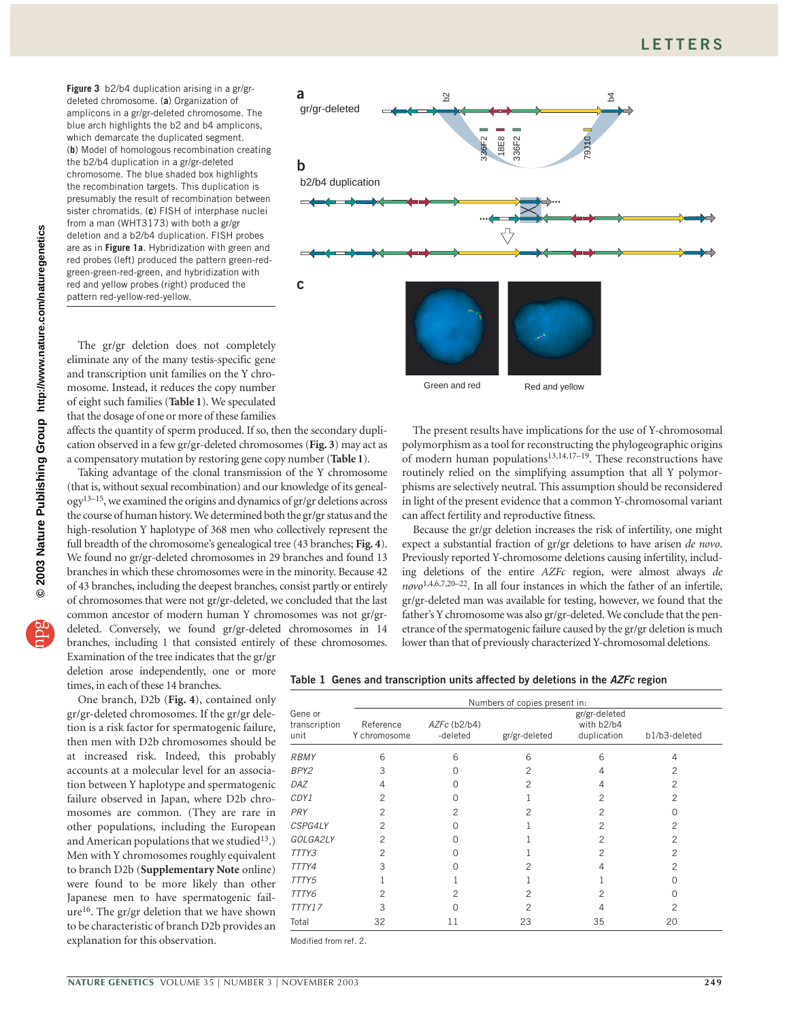**Figure 3** b2/b4 duplication arising in a gr/grdeleted chromosome. (**a**) Organization of amplicons in a gr/gr-deleted chromosome. The blue arch highlights the b2 and b4 amplicons, which demarcate the duplicated segment. (**b**) Model of homologous recombination creating the b2/b4 duplication in a gr/gr-deleted chromosome. The blue shaded box highlights the recombination targets. This duplication is presumably the result of recombination between sister chromatids. (**c**) FISH of interphase nuclei from a man (WHT3173) with both a gr/gr deletion and a b2/b4 duplication. FISH probes are as in **Figure 1a**. Hybridization with green and red probes (left) produced the pattern green-redgreen-green-red-green, and hybridization with red and yellow probes (right) produced the pattern red-yellow-red-yellow.



The gr/gr deletion does not completely eliminate any of the many testis-specific gene and transcription unit families on the Y chromosome. Instead, it reduces the copy number of eight such families (**Table 1**). We speculated that the dosage of one or more of these families

affects the quantity of sperm produced. If so, then the secondary duplication observed in a few gr/gr-deleted chromosomes (**Fig. 3**) may act as a compensatory mutation by restoring gene copy number (**Table 1**).

Taking advantage of the clonal transmission of the Y chromosome (that is, without sexual recombination) and our knowledge of its genealogy13–15, we examined the origins and dynamics of gr/gr deletions across the course of human history. We determined both the gr/gr status and the high-resolution Y haplotype of 368 men who collectively represent the full breadth of the chromosome's genealogical tree (43 branches; **Fig. 4**). We found no gr/gr-deleted chromosomes in 29 branches and found 13 branches in which these chromosomes were in the minority. Because 42 of 43 branches, including the deepest branches, consist partly or entirely of chromosomes that were not gr/gr-deleted, we concluded that the last common ancestor of modern human Y chromosomes was not gr/grdeleted. Conversely, we found gr/gr-deleted chromosomes in 14 branches, including 1 that consisted entirely of these chromosomes.

Examination of the tree indicates that the gr/gr deletion arose independently, one or more times, in each of these 14 branches.

One branch, D2b (**Fig. 4**), contained only gr/gr-deleted chromosomes. If the gr/gr deletion is a risk factor for spermatogenic failure, then men with D2b chromosomes should be at increased risk. Indeed, this probably accounts at a molecular level for an association between Y haplotype and spermatogenic failure observed in Japan, where D2b chromosomes are common. (They are rare in other populations, including the European and American populations that we studied<sup>13</sup>.) Men with Y chromosomes roughly equivalent to branch D2b (**Supplementary Note** online) were found to be more likely than other Japanese men to have spermatogenic fail $ure<sup>16</sup>$ . The gr/gr deletion that we have shown to be characteristic of branch D2b provides an explanation for this observation.

The present results have implications for the use of Y-chromosomal polymorphism as a tool for reconstructing the phylogeographic origins of modern human populations $13,14,17-19$ . These reconstructions have routinely relied on the simplifying assumption that all Y polymorphisms are selectively neutral. This assumption should be reconsidered in light of the present evidence that a common Y-chromosomal variant can affect fertility and reproductive fitness.

Because the gr/gr deletion increases the risk of infertility, one might expect a substantial fraction of gr/gr deletions to have arisen *de novo*. Previously reported Y-chromosome deletions causing infertility, including deletions of the entire *AZFc* region, were almost always *de novo*1,4,6,7,20–22. In all four instances in which the father of an infertile, gr/gr-deleted man was available for testing, however, we found that the father's Y chromosome was also gr/gr-deleted. We conclude that the penetrance of the spermatogenic failure caused by the gr/gr deletion is much lower than that of previously characterized Y-chromosomal deletions.

|  |  |  | Table 1 Genes and transcription units affected by deletions in the AZFc region |  |  |  |  |  |  |  |  |
|--|--|--|--------------------------------------------------------------------------------|--|--|--|--|--|--|--|--|
|--|--|--|--------------------------------------------------------------------------------|--|--|--|--|--|--|--|--|

|                                  |                           |                          | Numbers of copies present in: |                                            |                |
|----------------------------------|---------------------------|--------------------------|-------------------------------|--------------------------------------------|----------------|
| Gene or<br>transcription<br>unit | Reference<br>Y chromosome | AZFc (b2/b4)<br>-deleted | gr/gr-deleted                 | gr/gr-deleted<br>with b2/b4<br>duplication | b1/b3-deleted  |
| <b>RBMY</b>                      | 6                         | 6                        | 6                             | 6                                          | 4              |
| BPY2                             | 3                         | O                        | 2                             |                                            | 2              |
| DAZ                              | 4                         | U                        | 2                             |                                            | 2              |
| CDY1                             | 2                         |                          |                               |                                            | 2              |
| PRY                              | 2                         | 2                        | 2                             |                                            |                |
| CSPG4LY                          | $\overline{c}$            |                          |                               |                                            | $\overline{c}$ |
| GOLGA2LY                         | $\overline{c}$            | U                        |                               |                                            | $\overline{c}$ |
| TTTY3                            | 2                         |                          |                               |                                            | 2              |
| TTTY4                            | 3                         |                          |                               |                                            |                |
| TTTY5                            |                           |                          |                               |                                            |                |
| TTTY6                            | 2                         | 2                        | 2                             | 2                                          | Ω              |
| TTTY17                           | 3                         | ∩                        | 2                             |                                            | 2              |
| Total                            | 32                        | 11                       | 23                            | 35                                         | 20             |

Modified from ref. 2.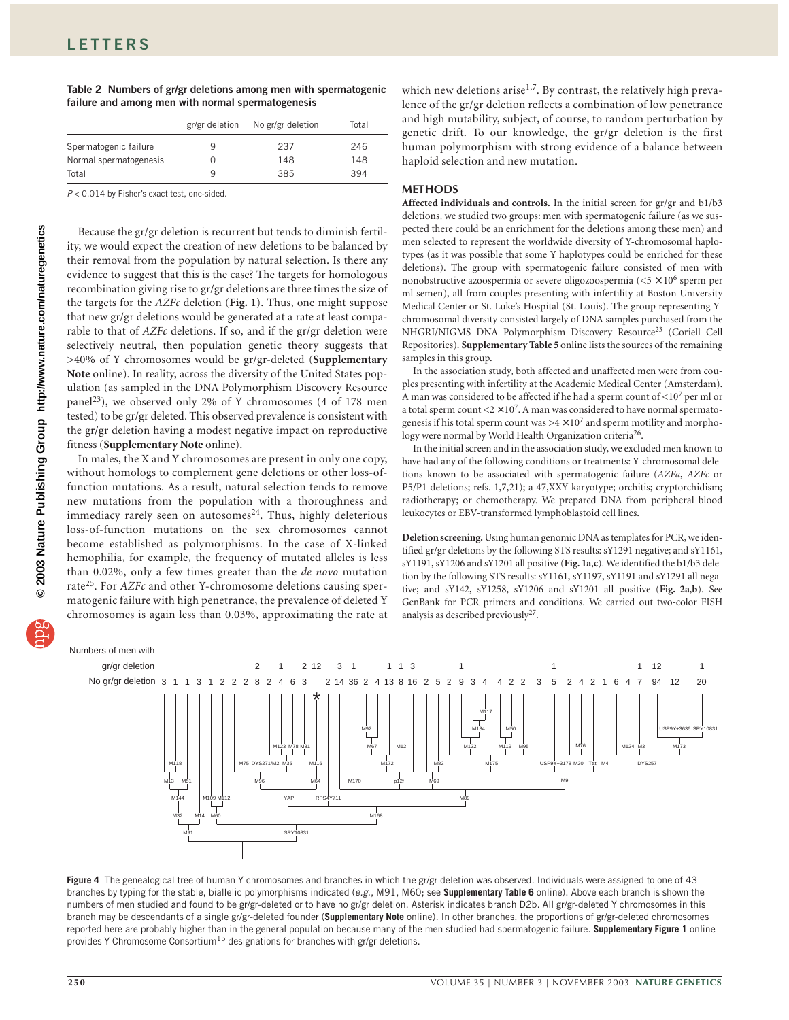| Table 2 Numbers of gr/gr deletions among men with spermatogenic |  |  |  |  |
|-----------------------------------------------------------------|--|--|--|--|
| failure and among men with normal spermatogenesis               |  |  |  |  |

|                        | gr/gr deletion | No gr/gr deletion | Total |
|------------------------|----------------|-------------------|-------|
| Spermatogenic failure  | 9              | 237               | 246   |
| Normal spermatogenesis |                | 148               | 148   |
| Total                  | q              | 385               | 394   |

*P* < 0.014 by Fisher's exact test, one-sided.

Because the gr/gr deletion is recurrent but tends to diminish fertility, we would expect the creation of new deletions to be balanced by their removal from the population by natural selection. Is there any evidence to suggest that this is the case? The targets for homologous recombination giving rise to gr/gr deletions are three times the size of the targets for the *AZFc* deletion (**Fig. 1**). Thus, one might suppose that new gr/gr deletions would be generated at a rate at least comparable to that of *AZFc* deletions. If so, and if the gr/gr deletion were selectively neutral, then population genetic theory suggests that >40% of Y chromosomes would be gr/gr-deleted (**Supplementary Note** online). In reality, across the diversity of the United States population (as sampled in the DNA Polymorphism Discovery Resource panel<sup>23</sup>), we observed only 2% of Y chromosomes (4 of 178 men tested) to be gr/gr deleted. This observed prevalence is consistent with the gr/gr deletion having a modest negative impact on reproductive fitness (**Supplementary Note** online).

In males, the X and Y chromosomes are present in only one copy, without homologs to complement gene deletions or other loss-offunction mutations. As a result, natural selection tends to remove new mutations from the population with a thoroughness and immediacy rarely seen on autosomes $24$ . Thus, highly deleterious loss-of-function mutations on the sex chromosomes cannot become established as polymorphisms. In the case of X-linked hemophilia, for example, the frequency of mutated alleles is less than 0.02%, only a few times greater than the *de novo* mutation rate<sup>25</sup>. For *AZFc* and other Y-chromosome deletions causing spermatogenic failure with high penetrance, the prevalence of deleted Y chromosomes is again less than 0.03%, approximating the rate at which new deletions arise<sup>1,7</sup>. By contrast, the relatively high prevalence of the gr/gr deletion reflects a combination of low penetrance and high mutability, subject, of course, to random perturbation by genetic drift. To our knowledge, the gr/gr deletion is the first human polymorphism with strong evidence of a balance between haploid selection and new mutation.

## **METHODS**

**Affected individuals and controls.** In the initial screen for gr/gr and b1/b3 deletions, we studied two groups: men with spermatogenic failure (as we suspected there could be an enrichment for the deletions among these men) and men selected to represent the worldwide diversity of Y-chromosomal haplotypes (as it was possible that some Y haplotypes could be enriched for these deletions). The group with spermatogenic failure consisted of men with nonobstructive azoospermia or severe oligozoospermia ( $\leq$ 5  $\times$  10<sup>6</sup> sperm per ml semen), all from couples presenting with infertility at Boston University Medical Center or St. Luke's Hospital (St. Louis). The group representing Ychromosomal diversity consisted largely of DNA samples purchased from the NHGRI/NIGMS DNA Polymorphism Discovery Resource<sup>23</sup> (Coriell Cell Repositories). **Supplementary Table 5** online lists the sources of the remaining samples in this group.

In the association study, both affected and unaffected men were from couples presenting with infertility at the Academic Medical Center (Amsterdam). A man was considered to be affected if he had a sperm count of  $\langle 10^7 \,\mathrm{per} \, \mathrm{ml}$  or a total sperm count  $\langle 2 \times 10^7$ . A man was considered to have normal spermatogenesis if his total sperm count was  $>4 \times 10^7$  and sperm motility and morphology were normal by World Health Organization criteria<sup>26</sup>.

In the initial screen and in the association study, we excluded men known to have had any of the following conditions or treatments: Y-chromosomal deletions known to be associated with spermatogenic failure (*AZFa*, *AZFc* or P5/P1 deletions; refs. 1,7,21); a 47,XXY karyotype; orchitis; cryptorchidism; radiotherapy; or chemotherapy. We prepared DNA from peripheral blood leukocytes or EBV-transformed lymphoblastoid cell lines.

**Deletion screening.** Using human genomic DNA as templates for PCR, we identified gr/gr deletions by the following STS results: sY1291 negative; and sY1161, sY1191, sY1206 and sY1201 all positive (**Fig. 1a**,**c**). We identified the b1/b3 deletion by the following STS results: sY1161, sY1197, sY1191 and sY1291 all negative; and sY142, sY1258, sY1206 and sY1201 all positive (**Fig. 2a**,**b**). See GenBank for PCR primers and conditions. We carried out two-color FISH analysis as described previously27.



**Figure 4** The genealogical tree of human Y chromosomes and branches in which the gr/gr deletion was observed. Individuals were assigned to one of 43 branches by typing for the stable, biallelic polymorphisms indicated (*e.g.*, M91, M60; see **Supplementary Table 6** online). Above each branch is shown the numbers of men studied and found to be gr/gr-deleted or to have no gr/gr deletion. Asterisk indicates branch D2b. All gr/gr-deleted Y chromosomes in this branch may be descendants of a single gr/gr-deleted founder (**Supplementary Note** online). In other branches, the proportions of gr/gr-deleted chromosomes reported here are probably higher than in the general population because many of the men studied had spermatogenic failure. **Supplementary Figure 1** online provides Y Chromosome Consortium<sup>15</sup> designations for branches with gr/gr deletions.